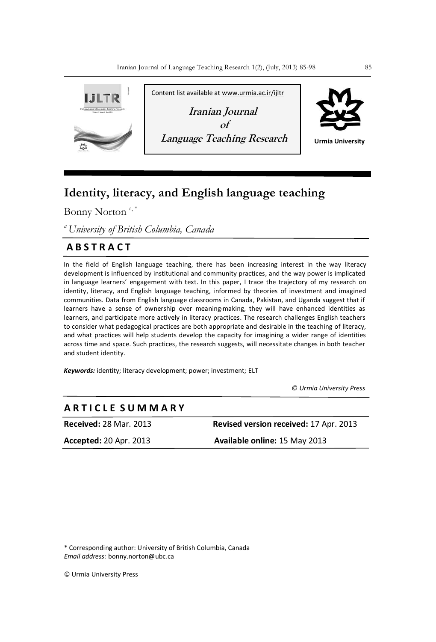

# **Identity, literacy, and English language teaching**

Bonny Norton<sup>a,\*</sup>

*<sup>a</sup>University of British Columbia, Canada* 

# **A B S T R A C T**

In the field of English language teaching, there has been increasing interest in the way literacy development is influenced by institutional and community practices, and the way power is implicated in language learners' engagement with text. In this paper, I trace the trajectory of my research on identity, literacy, and English language teaching, informed by theories of investment and imagined communities. Data from English language classrooms in Canada, Pakistan, and Uganda suggest that if learners have a sense of ownership over meaning-making, they will have enhanced identities as learners, and participate more actively in literacy practices. The research challenges English teachers to consider what pedagogical practices are both appropriate and desirable in the teaching of literacy, and what practices will help students develop the capacity for imagining a wider range of identities across time and space. Such practices, the research suggests, will necessitate changes in both teacher and student identity.

*Keywords:* identity; literacy development; power; investment; ELT

 *© Urmia University Press*

# **A R T I C L E S U M M A R Y**

**Received:** 28 Mar. 2013 **Revised version received:** 17 Apr. 2013

**Accepted:** 20 Apr. 2013 **Available online:** 15 May 2013

\* Corresponding author: University of British Columbia, Canada *Email address:* bonny.norton@ubc.ca

© Urmia University Press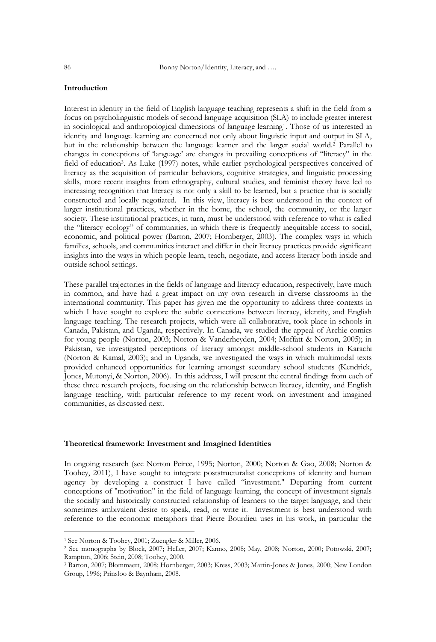# **Introduction**

Interest in identity in the field of English language teaching represents a shift in the field from a focus on psycholinguistic models of second language acquisition (SLA) to include greater interest in sociological and anthropological dimensions of language learning1. Those of us interested in identity and language learning are concerned not only about linguistic input and output in SLA, but in the relationship between the language learner and the larger social world.<sup>2</sup> Parallel to changes in conceptions of "language" are changes in prevailing conceptions of "literacy" in the field of education<sup>3</sup>. As Luke (1997) notes, while earlier psychological perspectives conceived of literacy as the acquisition of particular behaviors, cognitive strategies, and linguistic processing skills, more recent insights from ethnography, cultural studies, and feminist theory have led to increasing recognition that literacy is not only a skill to be learned, but a practice that is socially constructed and locally negotiated. In this view, literacy is best understood in the context of larger institutional practices, whether in the home, the school, the community, or the larger society. These institutional practices, in turn, must be understood with reference to what is called the "literacy ecology" of communities, in which there is frequently inequitable access to social, economic, and political power (Barton, 2007; Hornberger, 2003). The complex ways in which families, schools, and communities interact and differ in their literacy practices provide significant insights into the ways in which people learn, teach, negotiate, and access literacy both inside and outside school settings.

These parallel trajectories in the fields of language and literacy education, respectively, have much in common, and have had a great impact on my own research in diverse classrooms in the international community. This paper has given me the opportunity to address three contexts in which I have sought to explore the subtle connections between literacy, identity, and English language teaching. The research projects, which were all collaborative, took place in schools in Canada, Pakistan, and Uganda, respectively. In Canada, we studied the appeal of Archie comics for young people (Norton, 2003; Norton & Vanderheyden, 2004; Moffatt & Norton, 2005); in Pakistan, we investigated perceptions of literacy amongst middle-school students in Karachi (Norton & Kamal, 2003); and in Uganda, we investigated the ways in which multimodal texts provided enhanced opportunities for learning amongst secondary school students (Kendrick, Jones, Mutonyi, & Norton, 2006). In this address, I will present the central findings from each of these three research projects, focusing on the relationship between literacy, identity, and English language teaching, with particular reference to my recent work on investment and imagined communities, as discussed next.

# **Theoretical framework: Investment and Imagined Identities**

In ongoing research (see Norton Peirce, 1995; Norton, 2000; Norton & Gao, 2008; Norton & Toohey, 2011), I have sought to integrate poststructuralist conceptions of identity and human agency by developing a construct I have called "investment." Departing from current conceptions of "motivation" in the field of language learning, the concept of investment signals the socially and historically constructed relationship of learners to the target language, and their sometimes ambivalent desire to speak, read, or write it. Investment is best understood with reference to the economic metaphors that Pierre Bourdieu uses in his work, in particular the

**.** 

<sup>1</sup> See Norton & Toohey, 2001; Zuengler & Miller, 2006.

<sup>2</sup> See monographs by Block, 2007; Heller, 2007; Kanno, 2008; May, 2008; Norton, 2000; Potowski, 2007; Rampton, 2006; Stein, 2008; Toohey, 2000.

<sup>3</sup> Barton, 2007; Blommaert, 2008; Hornberger, 2003; Kress, 2003; Martin-Jones & Jones, 2000; New London Group, 1996; Prinsloo & Baynham, 2008.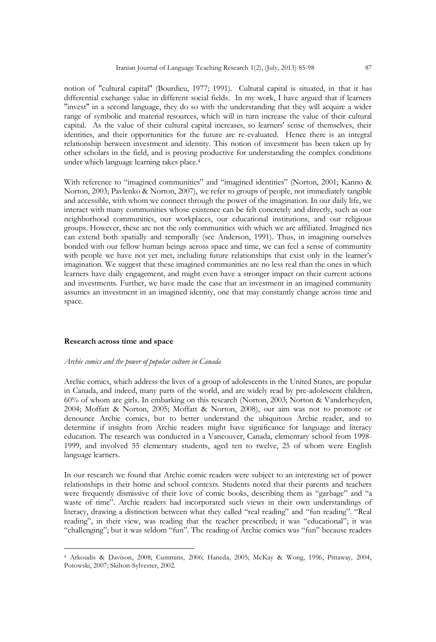notion of "cultural capital" (Bourdieu, 1977; 1991). Cultural capital is situated, in that it has differential exchange value in different social fields. In my work, I have argued that if learners "invest" in a second language, they do so with the understanding that they will acquire a wider range of symbolic and material resources, which will in turn increase the value of their cultural capital. As the value of their cultural capital increases, so learners' sense of themselves, their identities, and their opportunities for the future are re-evaluated. Hence there is an integral relationship between investment and identity. This notion of investment has been taken up by other scholars in the field, and is proving productive for understanding the complex conditions under which language learning takes place.<sup>4</sup>

With reference to "imagined communities" and "imagined identities" (Norton, 2001; Kanno & Norton, 2003; Pavlenko & Norton, 2007), we refer to groups of people, not immediately tangible and accessible, with whom we connect through the power of the imagination. In our daily life, we interact with many communities whose existence can be felt concretely and directly, such as our neighborhood communities, our workplaces, our educational institutions, and our religious groups. However, these are not the only communities with which we are affiliated. Imagined ties can extend both spatially and temporally (see Anderson, 1991). Thus, in imagining ourselves bonded with our fellow human beings across space and time, we can feel a sense of community with people we have not yet met, including future relationships that exist only in the learner's imagination. We suggest that these imagined communities are no less real than the ones in which learners have daily engagement, and might even have a stronger impact on their current actions and investments. Further, we have made the case that an investment in an imagined community assumes an investment in an imagined identity, one that may constantly change across time and space.

#### **Research across time and space**

-

# *Archie comics and the power of popular culture in Canada*

Archie comics, which address the lives of a group of adolescents in the United States, are popular in Canada, and indeed, many parts of the world, and are widely read by pre-adolescent children, 60% of whom are girls. In embarking on this research (Norton, 2003; Norton & Vanderheyden, 2004; Moffatt & Norton, 2005; Moffatt & Norton, 2008), our aim was not to promote or denounce Archie comics, but to better understand the ubiquitous Archie reader, and to determine if insights from Archie readers might have significance for language and literacy education. The research was conducted in a Vancouver, Canada, elementary school from 1998- 1999, and involved 55 elementary students, aged ten to twelve, 25 of whom were English language learners.

In our research we found that Archie comic readers were subject to an interesting set of power relationships in their home and school contexts. Students noted that their parents and teachers were frequently dismissive of their love of comic books, describing them as "garbage" and "a waste of time". Archie readers had incorporated such views in their own understandings of literacy, drawing a distinction between what they called "real reading" and "fun reading". "Real reading", in their view, was reading that the teacher prescribed; it was "educational"; it was "challenging"; but it was seldom "fun". The reading of Archie comics was "fun" because readers

<sup>4</sup> Arkoudis & Davison, 2008; Cummins, 2006; Haneda, 2005; McKay & Wong, 1996, Pittaway, 2004, Potowski, 2007; Skilton-Sylvester, 2002.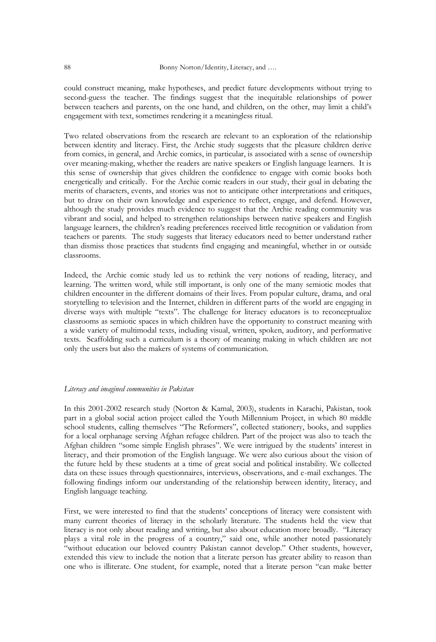could construct meaning, make hypotheses, and predict future developments without trying to second-guess the teacher. The findings suggest that the inequitable relationships of power between teachers and parents, on the one hand, and children, on the other, may limit a child"s engagement with text, sometimes rendering it a meaningless ritual.

Two related observations from the research are relevant to an exploration of the relationship between identity and literacy. First, the Archie study suggests that the pleasure children derive from comics, in general, and Archie comics, in particular, is associated with a sense of ownership over meaning-making, whether the readers are native speakers or English language learners. It is this sense of ownership that gives children the confidence to engage with comic books both energetically and critically. For the Archie comic readers in our study, their goal in debating the merits of characters, events, and stories was not to anticipate other interpretations and critiques, but to draw on their own knowledge and experience to reflect, engage, and defend. However, although the study provides much evidence to suggest that the Archie reading community was vibrant and social, and helped to strengthen relationships between native speakers and English language learners, the children"s reading preferences received little recognition or validation from teachers or parents. The study suggests that literacy educators need to better understand rather than dismiss those practices that students find engaging and meaningful, whether in or outside classrooms.

Indeed, the Archie comic study led us to rethink the very notions of reading, literacy, and learning. The written word, while still important, is only one of the many semiotic modes that children encounter in the different domains of their lives. From popular culture, drama, and oral storytelling to television and the Internet, children in different parts of the world are engaging in diverse ways with multiple "texts". The challenge for literacy educators is to reconceptualize classrooms as semiotic spaces in which children have the opportunity to construct meaning with a wide variety of multimodal texts, including visual, written, spoken, auditory, and performative texts. Scaffolding such a curriculum is a theory of meaning making in which children are not only the users but also the makers of systems of communication.

# *Literacy and imagined communities in Pakistan*

In this 2001-2002 research study (Norton & Kamal, 2003), students in Karachi, Pakistan, took part in a global social action project called the Youth Millennium Project, in which 80 middle school students, calling themselves "The Reformers", collected stationery, books, and supplies for a local orphanage serving Afghan refugee children. Part of the project was also to teach the Afghan children "some simple English phrases". We were intrigued by the students" interest in literacy, and their promotion of the English language. We were also curious about the vision of the future held by these students at a time of great social and political instability. We collected data on these issues through questionnaires, interviews, observations, and e-mail exchanges. The following findings inform our understanding of the relationship between identity, literacy, and English language teaching.

First, we were interested to find that the students" conceptions of literacy were consistent with many current theories of literacy in the scholarly literature. The students held the view that literacy is not only about reading and writing, but also about education more broadly. "Literacy plays a vital role in the progress of a country," said one, while another noted passionately "without education our beloved country Pakistan cannot develop." Other students, however, extended this view to include the notion that a literate person has greater ability to reason than one who is illiterate. One student, for example, noted that a literate person "can make better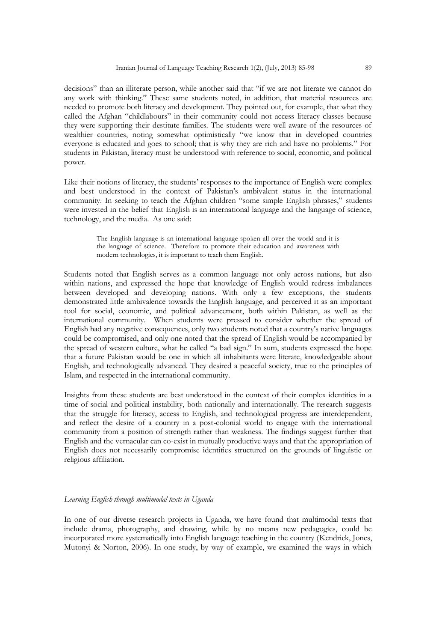decisions" than an illiterate person, while another said that "if we are not literate we cannot do any work with thinking." These same students noted, in addition, that material resources are needed to promote both literacy and development. They pointed out, for example, that what they called the Afghan "childlabours" in their community could not access literacy classes because they were supporting their destitute families. The students were well aware of the resources of wealthier countries, noting somewhat optimistically "we know that in developed countries everyone is educated and goes to school; that is why they are rich and have no problems." For students in Pakistan, literacy must be understood with reference to social, economic, and political power.

Like their notions of literacy, the students" responses to the importance of English were complex and best understood in the context of Pakistan"s ambivalent status in the international community. In seeking to teach the Afghan children "some simple English phrases," students were invested in the belief that English is an international language and the language of science, technology, and the media. As one said:

> The English language is an international language spoken all over the world and it is the language of science. Therefore to promote their education and awareness with modern technologies, it is important to teach them English.

Students noted that English serves as a common language not only across nations, but also within nations, and expressed the hope that knowledge of English would redress imbalances between developed and developing nations. With only a few exceptions, the students demonstrated little ambivalence towards the English language, and perceived it as an important tool for social, economic, and political advancement, both within Pakistan, as well as the international community. When students were pressed to consider whether the spread of English had any negative consequences, only two students noted that a country"s native languages could be compromised, and only one noted that the spread of English would be accompanied by the spread of western culture, what he called "a bad sign." In sum, students expressed the hope that a future Pakistan would be one in which all inhabitants were literate, knowledgeable about English, and technologically advanced. They desired a peaceful society, true to the principles of Islam, and respected in the international community.

Insights from these students are best understood in the context of their complex identities in a time of social and political instability, both nationally and internationally. The research suggests that the struggle for literacy, access to English, and technological progress are interdependent, and reflect the desire of a country in a post-colonial world to engage with the international community from a position of strength rather than weakness. The findings suggest further that English and the vernacular can co-exist in mutually productive ways and that the appropriation of English does not necessarily compromise identities structured on the grounds of linguistic or religious affiliation.

# *Learning English through multimodal texts in Uganda*

In one of our diverse research projects in Uganda, we have found that multimodal texts that include drama, photography, and drawing, while by no means new pedagogies, could be incorporated more systematically into English language teaching in the country (Kendrick, Jones, Mutonyi & Norton, 2006). In one study, by way of example, we examined the ways in which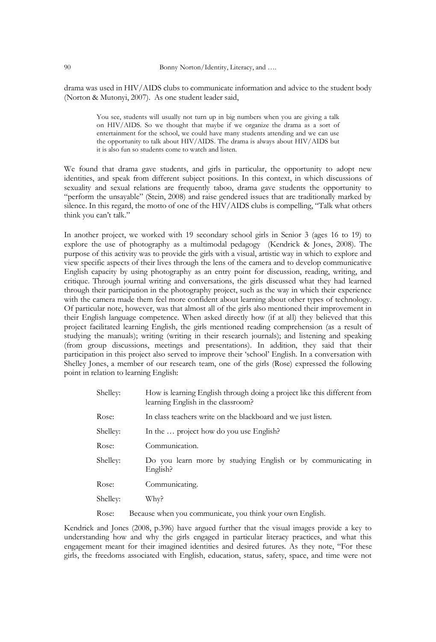drama was used in HIV/AIDS clubs to communicate information and advice to the student body (Norton & Mutonyi, 2007). As one student leader said,

> You see, students will usually not turn up in big numbers when you are giving a talk on HIV/AIDS. So we thought that maybe if we organize the drama as a sort of entertainment for the school, we could have many students attending and we can use the opportunity to talk about HIV/AIDS. The drama is always about HIV/AIDS but it is also fun so students come to watch and listen.

We found that drama gave students, and girls in particular, the opportunity to adopt new identities, and speak from different subject positions. In this context, in which discussions of sexuality and sexual relations are frequently taboo, drama gave students the opportunity to "perform the unsayable" (Stein, 2008) and raise gendered issues that are traditionally marked by silence. In this regard, the motto of one of the HIV/AIDS clubs is compelling, "Talk what others think you can't talk."

In another project, we worked with 19 secondary school girls in Senior 3 (ages 16 to 19) to explore the use of photography as a multimodal pedagogy (Kendrick & Jones, 2008). The purpose of this activity was to provide the girls with a visual, artistic way in which to explore and view specific aspects of their lives through the lens of the camera and to develop communicative English capacity by using photography as an entry point for discussion, reading, writing, and critique. Through journal writing and conversations, the girls discussed what they had learned through their participation in the photography project, such as the way in which their experience with the camera made them feel more confident about learning about other types of technology. Of particular note, however, was that almost all of the girls also mentioned their improvement in their English language competence. When asked directly how (if at all) they believed that this project facilitated learning English, the girls mentioned reading comprehension (as a result of studying the manuals); writing (writing in their research journals); and listening and speaking (from group discussions, meetings and presentations). In addition, they said that their participation in this project also served to improve their "school" English. In a conversation with Shelley Jones, a member of our research team, one of the girls (Rose) expressed the following point in relation to learning English:

| Shelley: | How is learning English through doing a project like this different from<br>learning English in the classroom? |
|----------|----------------------------------------------------------------------------------------------------------------|
| Rose:    | In class teachers write on the blackboard and we just listen.                                                  |
| Shelley: | In the  project how do you use English?                                                                        |
| Rose:    | Communication.                                                                                                 |
| Shelley: | Do you learn more by studying English or by communicating in<br>English?                                       |
| Rose:    | Communicating.                                                                                                 |
| Shelley: | Whv?                                                                                                           |
|          |                                                                                                                |

Rose: Because when you communicate, you think your own English.

Kendrick and Jones (2008, p.396) have argued further that the visual images provide a key to understanding how and why the girls engaged in particular literacy practices, and what this engagement meant for their imagined identities and desired futures. As they note, "For these girls, the freedoms associated with English, education, status, safety, space, and time were not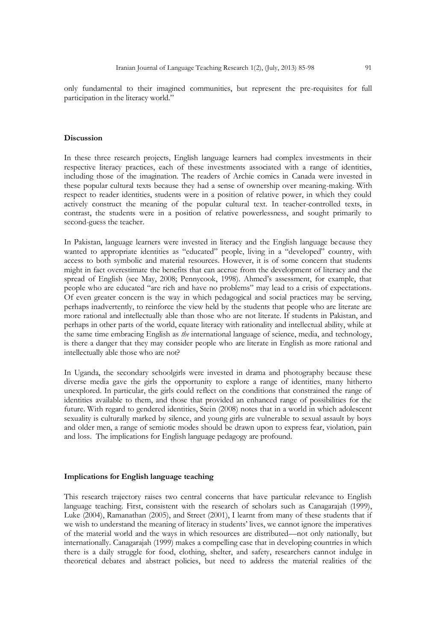only fundamental to their imagined communities, but represent the pre-requisites for full participation in the literacy world."

### **Discussion**

In these three research projects, English language learners had complex investments in their respective literacy practices, each of these investments associated with a range of identities, including those of the imagination. The readers of Archie comics in Canada were invested in these popular cultural texts because they had a sense of ownership over meaning-making. With respect to reader identities, students were in a position of relative power, in which they could actively construct the meaning of the popular cultural text. In teacher-controlled texts, in contrast, the students were in a position of relative powerlessness, and sought primarily to second-guess the teacher.

In Pakistan, language learners were invested in literacy and the English language because they wanted to appropriate identities as "educated" people, living in a "developed" country, with access to both symbolic and material resources. However, it is of some concern that students might in fact overestimate the benefits that can accrue from the development of literacy and the spread of English (see May, 2008; Pennycook, 1998). Ahmed"s assessment, for example, that people who are educated "are rich and have no problems" may lead to a crisis of expectations. Of even greater concern is the way in which pedagogical and social practices may be serving, perhaps inadvertently, to reinforce the view held by the students that people who are literate are more rational and intellectually able than those who are not literate. If students in Pakistan, and perhaps in other parts of the world, equate literacy with rationality and intellectual ability, while at the same time embracing English as *the* international language of science, media, and technology, is there a danger that they may consider people who are literate in English as more rational and intellectually able those who are not?

In Uganda, the secondary schoolgirls were invested in drama and photography because these diverse media gave the girls the opportunity to explore a range of identities, many hitherto unexplored. In particular, the girls could reflect on the conditions that constrained the range of identities available to them, and those that provided an enhanced range of possibilities for the future. With regard to gendered identities, Stein (2008) notes that in a world in which adolescent sexuality is culturally marked by silence, and young girls are vulnerable to sexual assault by boys and older men, a range of semiotic modes should be drawn upon to express fear, violation, pain and loss. The implications for English language pedagogy are profound.

## **Implications for English language teaching**

This research trajectory raises two central concerns that have particular relevance to English language teaching. First, consistent with the research of scholars such as Canagarajah (1999), Luke (2004), Ramanathan (2005), and Street (2001), I learnt from many of these students that if we wish to understand the meaning of literacy in students' lives, we cannot ignore the imperatives of the material world and the ways in which resources are distributed—not only nationally, but internationally. Canagarajah (1999) makes a compelling case that in developing countries in which there is a daily struggle for food, clothing, shelter, and safety, researchers cannot indulge in theoretical debates and abstract policies, but need to address the material realities of the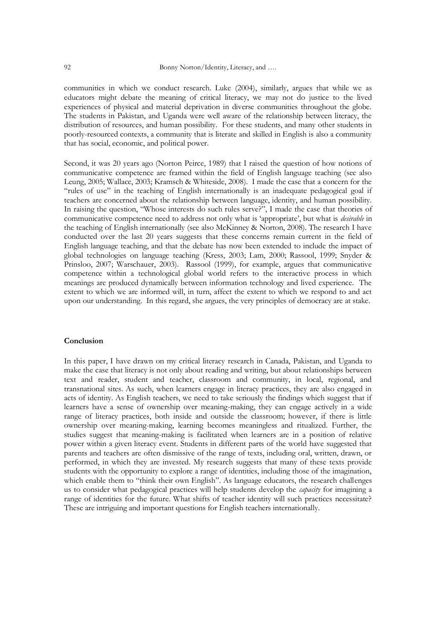communities in which we conduct research. Luke (2004), similarly, argues that while we as educators might debate the meaning of critical literacy, we may not do justice to the lived experiences of physical and material deprivation in diverse communities throughout the globe. The students in Pakistan, and Uganda were well aware of the relationship between literacy, the distribution of resources, and human possibility. For these students, and many other students in poorly-resourced contexts, a community that is literate and skilled in English is also a community that has social, economic, and political power.

Second, it was 20 years ago (Norton Peirce, 1989) that I raised the question of how notions of communicative competence are framed within the field of English language teaching (see also Leung, 2005; Wallace, 2003; Kramsch & Whiteside, 2008). I made the case that a concern for the "rules of use" in the teaching of English internationally is an inadequate pedagogical goal if teachers are concerned about the relationship between language, identity, and human possibility. In raising the question, "Whose interests do such rules serve?", I made the case that theories of communicative competence need to address not only what is "appropriate", but what is *desirable* in the teaching of English internationally (see also McKinney & Norton, 2008). The research I have conducted over the last 20 years suggests that these concerns remain current in the field of English language teaching, and that the debate has now been extended to include the impact of global technologies on language teaching (Kress, 2003; Lam, 2000; Rassool, 1999; Snyder & Prinsloo, 2007; Warschauer, 2003). Rassool (1999), for example, argues that communicative competence within a technological global world refers to the interactive process in which meanings are produced dynamically between information technology and lived experience. The extent to which we are informed will, in turn, affect the extent to which we respond to and act upon our understanding. In this regard, she argues, the very principles of democracy are at stake.

#### **Conclusion**

In this paper, I have drawn on my critical literacy research in Canada, Pakistan, and Uganda to make the case that literacy is not only about reading and writing, but about relationships between text and reader, student and teacher, classroom and community, in local, regional, and transnational sites. As such, when learners engage in literacy practices, they are also engaged in acts of identity. As English teachers, we need to take seriously the findings which suggest that if learners have a sense of ownership over meaning-making, they can engage actively in a wide range of literacy practices, both inside and outside the classroom; however, if there is little ownership over meaning-making, learning becomes meaningless and ritualized. Further, the studies suggest that meaning-making is facilitated when learners are in a position of relative power within a given literacy event. Students in different parts of the world have suggested that parents and teachers are often dismissive of the range of texts, including oral, written, drawn, or performed, in which they are invested. My research suggests that many of these texts provide students with the opportunity to explore a range of identities, including those of the imagination, which enable them to "think their own English". As language educators, the research challenges us to consider what pedagogical practices will help students develop the *capacity* for imagining a range of identities for the future. What shifts of teacher identity will such practices necessitate? These are intriguing and important questions for English teachers internationally.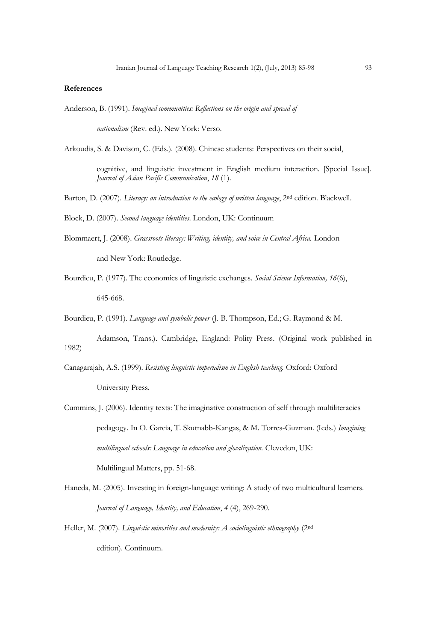### **References**

Anderson, B. (1991). *Imagined communities: Reflections on the origin and spread of* 

*nationalism* (Rev. ed.). New York: Verso.

Arkoudis, S. & Davison, C. (Eds.). (2008). Chinese students: Perspectives on their social,

cognitive, and linguistic investment in English medium interaction. [Special Issue]. *Journal of Asian Pacific Communication*, *18* (1).

Barton, D. (2007). *Literacy: an introduction to the ecology of written language*, 2<sup>nd</sup> edition. Blackwell.

Block, D. (2007). *Second language identities*. London, UK: Continuum

- Blommaert, J. (2008). *Grassroots literacy: Writing, identity, and voice in Central Africa.* London and New York: Routledge.
- Bourdieu, P. (1977). The economics of linguistic exchanges. *Social Science Information, 16*(6), 645-668.

Bourdieu, P. (1991). *Language and symbolic power* (J. B. Thompson, Ed.; G. Raymond & M.

- Adamson, Trans.). Cambridge, England: Polity Press. (Original work published in 1982)
- Canagarajah, A.S. (1999). *Resisting linguistic imperialism in English teaching.* Oxford: Oxford University Press.
- Cummins, J. (2006). Identity texts: The imaginative construction of self through multiliteracies pedagogy. In O. Garcia, T. Skutnabb-Kangas, & M. Torres-Guzman. (Ieds.) *Imagining multilingual schools: Language in education and glocalization.* Clevedon, UK: Multilingual Matters, pp. 51-68.
- Haneda, M. (2005). Investing in foreign-language writing: A study of two multicultural learners. *Journal of Language, Identity, and Education*, *4* (4), 269-290.
- Heller, M. (2007). *Linguistic minorities and modernity: A sociolinguistic ethnography* (2<sup>nd</sup> edition). Continuum.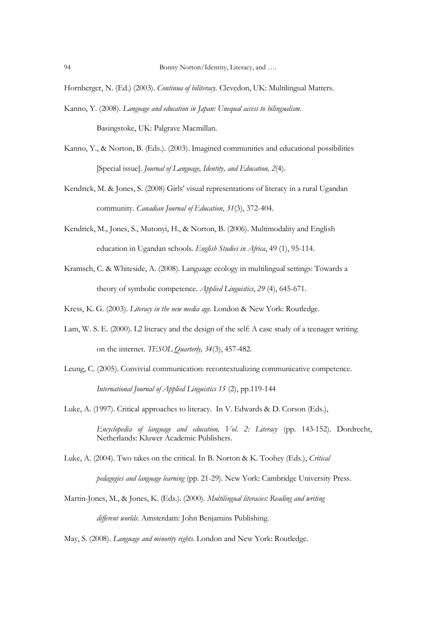Hornberger, N. (Ed.) (2003). *Continua of biliteracy.* Clevedon, UK: Multilingual Matters.

- Kanno, Y. (2008). *Language and education in Japan: Unequal access to bilingualism*. Basingstoke, UK: Palgrave Macmillan.
- Kanno, Y., & Norton, B. (Eds.). (2003). Imagined communities and educational possibilities [Special issue]. *Journal of Language, Identity, and Education, 2*(4).
- Kendrick, M. & Jones, S. (2008) Girls" visual representations of literacy in a rural Ugandan community. *Canadian Journal of Education*, *31*(3), 372-404.
- Kendrick, M., Jones, S., Mutonyi, H., & Norton, B. (2006). Multimodality and English education in Ugandan schools. *English Studies in Africa*, 49 (1), 95-114.
- Kramsch, C. & Whiteside, A. (2008). Language ecology in multilingual settings: Towards a theory of symbolic competence. *Applied Linguistics*, *29* (4), 645-671.
- Kress, K. G. (2003). *Literacy in the new media age.* London & New York: Routledge.
- Lam, W. S. E. (2000). L2 literacy and the design of the self: A case study of a teenager writing on the internet. *TESOL Quarterly, 34*(3), 457-482.
- Leung, C. (2005). Convivial communication: recontextualizing communicative competence. *International Journal of Applied Linguistics 15* (2), pp.119-144
- Luke, A. (1997). Critical approaches to literacy. In V. Edwards & D. Corson (Eds.), *Encyclopedia of language and education, Vol. 2: Literacy* (pp. 143-152). Dordrecht, Netherlands: Kluwer Academic Publishers.

Luke, A. (2004). Two takes on the critical. In B. Norton & K. Toohey (Eds.), *Critical pedagogies and language learning* (pp. 21-29). New York: Cambridge University Press.

Martin-Jones, M., & Jones, K. (Eds.). (2000). *Multilingual literacies: Reading and writing*

*different worlds.* Amsterdam: John Benjamins Publishing.

May, S. (2008). *Language and minority rights.* London and New York: Routledge.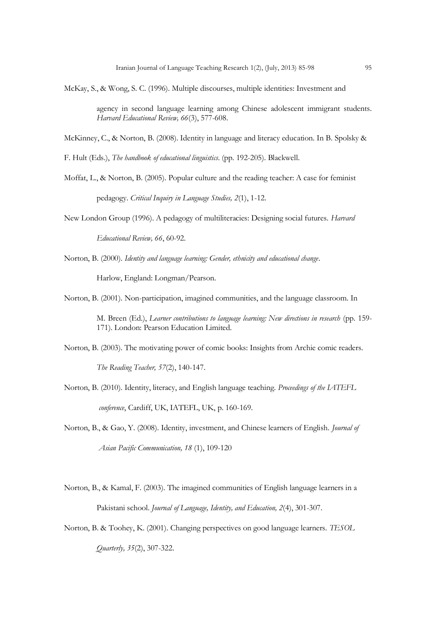McKay, S., & Wong, S. C. (1996). Multiple discourses, multiple identities: Investment and

agency in second language learning among Chinese adolescent immigrant students. *Harvard Educational Review, 66*(3), 577-608.

McKinney, C., & Norton, B. (2008). Identity in language and literacy education. In B. Spolsky &

F. Hult (Eds.), *The handbook of educational linguistics*. (pp. 192-205). Blackwell.

Moffat, L., & Norton, B. (2005). Popular culture and the reading teacher: A case for feminist pedagogy. *Critical Inquiry in Language Studies, 2*(1), 1-12.

New London Group (1996). A pedagogy of multiliteracies: Designing social futures. *Harvard Educational Review, 66*, 60-92.

Norton, B. (2000). *Identity and language learning: Gender, ethnicity and educational change*.

Harlow, England: Longman/Pearson.

Norton, B. (2001). Non-participation, imagined communities, and the language classroom. In

M. Breen (Ed.), *Learner contributions to language learning: New directions in research* (pp. 159- 171). London: Pearson Education Limited.

Norton, B. (2003). The motivating power of comic books: Insights from Archie comic readers.

*The Reading Teacher, 57*(2), 140-147.

- Norton, B. (2010). Identity, literacy, and English language teaching. *Proceedings of the IATEFL conference*, Cardiff, UK, IATEFL, UK, p. 160-169.
- Norton, B., & Gao, Y. (2008). Identity, investment, and Chinese learners of English. *Journal of Asian Pacific Communication, 18* (1), 109-120
- Norton, B., & Kamal, F. (2003). The imagined communities of English language learners in a Pakistani school. *Journal of Language, Identity, and Education, 2*(4), 301-307.
- Norton, B. & Toohey, K. (2001). Changing perspectives on good language learners. *TESOL Quarterly, 35*(2), 307-322.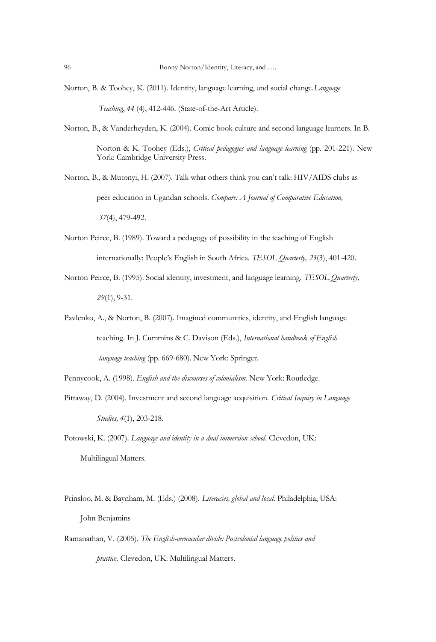- Norton, B. & Toohey, K. (2011). Identity, language learning, and social change.*Language Teaching*, *44* (4), 412-446. (State-of-the-Art Article).
- Norton, B., & Vanderheyden, K. (2004). Comic book culture and second language learners. In B. Norton & K. Toohey (Eds.), *Critical pedagogies and language learning* (pp. 201-221). New York: Cambridge University Press.
- Norton, B., & Mutonyi, H. (2007). Talk what others think you can"t talk: HIV/AIDS clubs as peer education in Ugandan schools. *Compare: A Journal of Comparative Education, 37*(4), 479-492.
- Norton Peirce, B. (1989). Toward a pedagogy of possibility in the teaching of English internationally: People"s English in South Africa. *TESOL Quarterly, 23*(3), 401-420.
- Norton Peirce, B. (1995). Social identity, investment, and language learning. *TESOL Quarterly, 29*(1), 9-31.
- Pavlenko, A., & Norton, B. (2007). Imagined communities, identity, and English language teaching. In J. Cummins & C. Davison (Eds.), *International handbook of English language teaching* (pp. 669-680). New York: Springer.
- Pennycook, A. (1998). *English and the discourses of colonialism.* New York: Routledge.
- Pittaway, D. (2004). Investment and second language acquisition. *Critical Inquiry in Language Studies, 4*(1), 203-218.
- Potowski, K. (2007). *Language and identity in a dual immersion school.* Clevedon, UK: Multilingual Matters.
- Prinsloo, M. & Baynham, M. (Eds.) (2008). *Literacies, global and local.* Philadelphia, USA: John Benjamins
- Ramanathan, V. (2005). *The English-vernacular divide: Postcolonial language politics and practice*. Clevedon, UK: Multilingual Matters.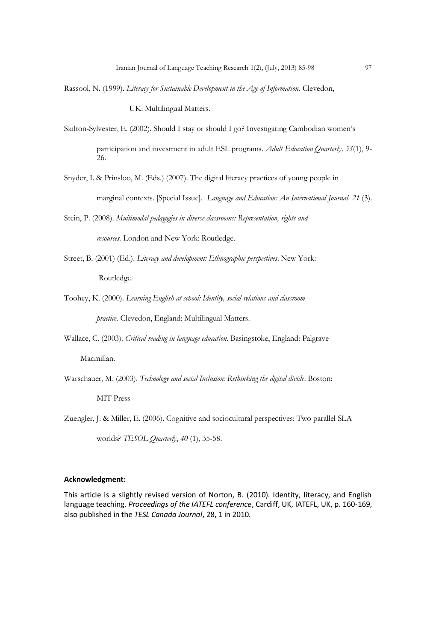- Rassool, N. (1999). *Literacy for Sustainable Development in the Age of Information*. Clevedon, UK: Multilingual Matters.
- Skilton-Sylvester, E. (2002). Should I stay or should I go? Investigating Cambodian women"s participation and investment in adult ESL programs. *Adult Education Quarterly, 53*(1), 9- 26.
- Snyder, I. & Prinsloo, M. (Eds.) (2007). The digital literacy practices of young people in marginal contexts. [Special Issue]. *Language and Education: An International Journal. 21* (3).
- Stein, P. (2008). *Multimodal pedagogies in diverse classrooms: Representation, rights and resources.* London and New York: Routledge.
- Street, B. (2001) (Ed.). *Literacy and development: Ethnographic perspectives*. New York: Routledge.
- Toohey, K. (2000). *Learning English at school: Identity, social relations and classroom practice*. Clevedon, England: Multilingual Matters.
- Wallace, C. (2003). *Critical reading in language education*. Basingstoke, England: Palgrave Macmillan.
- Warschauer, M. (2003). *Technology and social Inclusion: Rethinking the digital divide*. Boston:

MIT Press

Zuengler, J. & Miller, E. (2006). Cognitive and sociocultural perspectives: Two parallel SLA

worlds? *TESOL Quarterly*, *40* (1), 35-58.

# **Acknowledgment:**

This article is a slightly revised version of Norton, B. (2010). Identity, literacy, and English language teaching. *Proceedings of the IATEFL conference*, Cardiff, UK, IATEFL, UK, p. 160-169, also published in the *TESL Canada Journal*, 28, 1 in 2010.